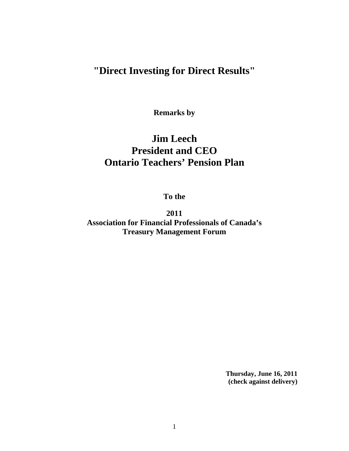## **"Direct Investing for Direct Results"**

**Remarks by** 

## **Jim Leech President and CEO Ontario Teachers' Pension Plan**

**To the**

**2011 Association for Financial Professionals of Canada's Treasury Management Forum** 

> **Thursday, June 16, 2011 (check against delivery)**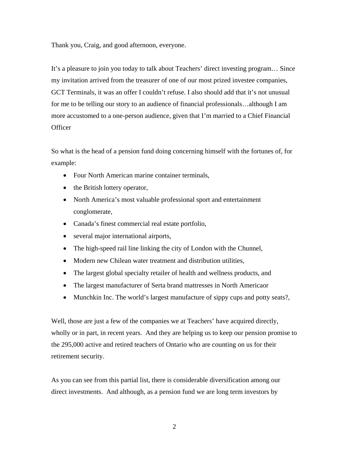Thank you, Craig, and good afternoon, everyone.

It's a pleasure to join you today to talk about Teachers' direct investing program… Since my invitation arrived from the treasurer of one of our most prized investee companies, GCT Terminals, it was an offer I couldn't refuse. I also should add that it's not unusual for me to be telling our story to an audience of financial professionals…although I am more accustomed to a one-person audience, given that I'm married to a Chief Financial **Officer** 

So what is the head of a pension fund doing concerning himself with the fortunes of, for example:

- Four North American marine container terminals,
- the British lottery operator,
- North America's most valuable professional sport and entertainment conglomerate,
- Canada's finest commercial real estate portfolio,
- several major international airports,
- The high-speed rail line linking the city of London with the Chunnel,
- Modern new Chilean water treatment and distribution utilities,
- The largest global specialty retailer of health and wellness products, and
- The largest manufacturer of Serta brand mattresses in North Americaor
- Munchkin Inc. The world's largest manufacture of sippy cups and potty seats?,

Well, those are just a few of the companies we at Teachers' have acquired directly, wholly or in part, in recent years. And they are helping us to keep our pension promise to the 295,000 active and retired teachers of Ontario who are counting on us for their retirement security.

As you can see from this partial list, there is considerable diversification among our direct investments. And although, as a pension fund we are long term investors by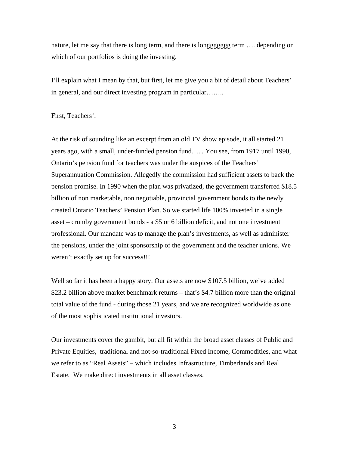nature, let me say that there is long term, and there is longgggggg term …. depending on which of our portfolios is doing the investing.

I'll explain what I mean by that, but first, let me give you a bit of detail about Teachers' in general, and our direct investing program in particular……..

First, Teachers'.

At the risk of sounding like an excerpt from an old TV show episode, it all started 21 years ago, with a small, under-funded pension fund…. . You see, from 1917 until 1990, Ontario's pension fund for teachers was under the auspices of the Teachers' Superannuation Commission. Allegedly the commission had sufficient assets to back the pension promise. In 1990 when the plan was privatized, the government transferred \$18.5 billion of non marketable, non negotiable, provincial government bonds to the newly created Ontario Teachers' Pension Plan. So we started life 100% invested in a single asset – crumby government bonds - a \$5 or 6 billion deficit, and not one investment professional. Our mandate was to manage the plan's investments, as well as administer the pensions, under the joint sponsorship of the government and the teacher unions. We weren't exactly set up for success!!!

Well so far it has been a happy story. Our assets are now \$107.5 billion, we've added \$23.2 billion above market benchmark returns – that's \$4.7 billion more than the original total value of the fund - during those 21 years, and we are recognized worldwide as one of the most sophisticated institutional investors.

Our investments cover the gambit, but all fit within the broad asset classes of Public and Private Equities, traditional and not-so-traditional Fixed Income, Commodities, and what we refer to as "Real Assets" – which includes Infrastructure, Timberlands and Real Estate. We make direct investments in all asset classes.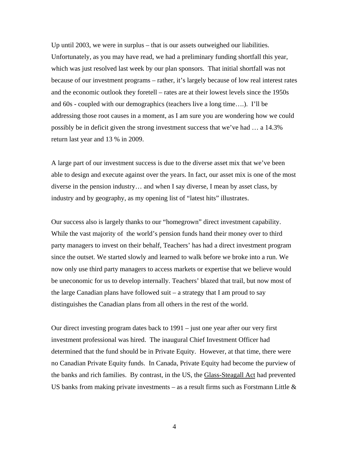Up until 2003, we were in surplus – that is our assets outweighed our liabilities. Unfortunately, as you may have read, we had a preliminary funding shortfall this year, which was just resolved last week by our plan sponsors. That initial shortfall was not because of our investment programs – rather, it's largely because of low real interest rates and the economic outlook they foretell – rates are at their lowest levels since the 1950s and 60s - coupled with our demographics (teachers live a long time….). I'll be addressing those root causes in a moment, as I am sure you are wondering how we could possibly be in deficit given the strong investment success that we've had … a 14.3% return last year and 13 % in 2009.

A large part of our investment success is due to the diverse asset mix that we've been able to design and execute against over the years. In fact, our asset mix is one of the most diverse in the pension industry… and when I say diverse, I mean by asset class, by industry and by geography, as my opening list of "latest hits" illustrates.

Our success also is largely thanks to our "homegrown" direct investment capability. While the vast majority of the world's pension funds hand their money over to third party managers to invest on their behalf, Teachers' has had a direct investment program since the outset. We started slowly and learned to walk before we broke into a run. We now only use third party managers to access markets or expertise that we believe would be uneconomic for us to develop internally. Teachers' blazed that trail, but now most of the large Canadian plans have followed suit – a strategy that I am proud to say distinguishes the Canadian plans from all others in the rest of the world.

Our direct investing program dates back to 1991 – just one year after our very first investment professional was hired. The inaugural Chief Investment Officer had determined that the fund should be in Private Equity. However, at that time, there were no Canadian Private Equity funds. In Canada, Private Equity had become the purview of the banks and rich families. By contrast, in the US, the Glass-Steagall Act had prevented US banks from making private investments – as a result firms such as Forstmann Little  $\&$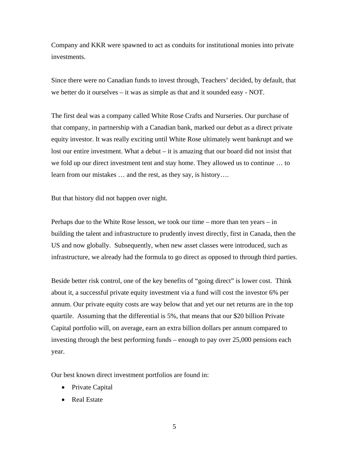Company and KKR were spawned to act as conduits for institutional monies into private investments.

Since there were no Canadian funds to invest through, Teachers' decided, by default, that we better do it ourselves – it was as simple as that and it sounded easy - NOT.

The first deal was a company called White Rose Crafts and Nurseries. Our purchase of that company, in partnership with a Canadian bank, marked our debut as a direct private equity investor. It was really exciting until White Rose ultimately went bankrupt and we lost our entire investment. What a debut – it is amazing that our board did not insist that we fold up our direct investment tent and stay home. They allowed us to continue … to learn from our mistakes … and the rest, as they say, is history….

But that history did not happen over night.

Perhaps due to the White Rose lesson, we took our time – more than ten years – in building the talent and infrastructure to prudently invest directly, first in Canada, then the US and now globally. Subsequently, when new asset classes were introduced, such as infrastructure, we already had the formula to go direct as opposed to through third parties.

Beside better risk control, one of the key benefits of "going direct" is lower cost. Think about it, a successful private equity investment via a fund will cost the investor 6% per annum. Our private equity costs are way below that and yet our net returns are in the top quartile. Assuming that the differential is 5%, that means that our \$20 billion Private Capital portfolio will, on average, earn an extra billion dollars per annum compared to investing through the best performing funds – enough to pay over 25,000 pensions each year.

Our best known direct investment portfolios are found in:

- Private Capital
- Real Estate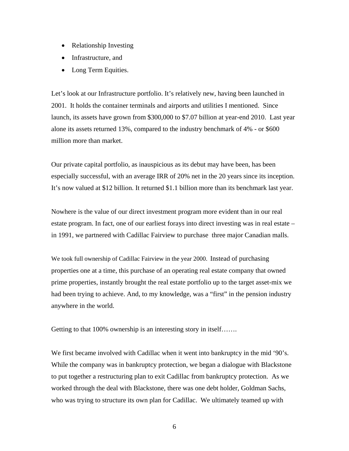- Relationship Investing
- Infrastructure, and
- Long Term Equities.

Let's look at our Infrastructure portfolio. It's relatively new, having been launched in 2001. It holds the container terminals and airports and utilities I mentioned. Since launch, its assets have grown from \$300,000 to \$7.07 billion at year-end 2010. Last year alone its assets returned 13%, compared to the industry benchmark of 4% - or \$600 million more than market.

Our private capital portfolio, as inauspicious as its debut may have been, has been especially successful, with an average IRR of 20% net in the 20 years since its inception. It's now valued at \$12 billion. It returned \$1.1 billion more than its benchmark last year.

Nowhere is the value of our direct investment program more evident than in our real estate program. In fact, one of our earliest forays into direct investing was in real estate – in 1991, we partnered with Cadillac Fairview to purchase three major Canadian malls.

We took full ownership of Cadillac Fairview in the year 2000. Instead of purchasing properties one at a time, this purchase of an operating real estate company that owned prime properties, instantly brought the real estate portfolio up to the target asset-mix we had been trying to achieve. And, to my knowledge, was a "first" in the pension industry anywhere in the world.

Getting to that 100% ownership is an interesting story in itself…….

We first became involved with Cadillac when it went into bankruptcy in the mid '90's. While the company was in bankruptcy protection, we began a dialogue with Blackstone to put together a restructuring plan to exit Cadillac from bankruptcy protection. As we worked through the deal with Blackstone, there was one debt holder, Goldman Sachs, who was trying to structure its own plan for Cadillac. We ultimately teamed up with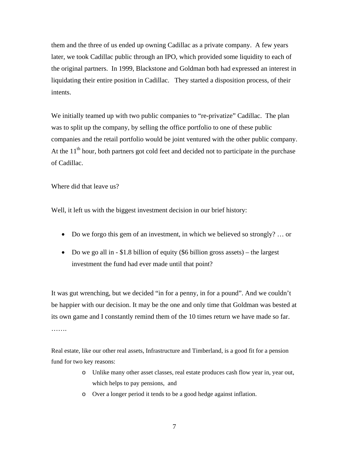them and the three of us ended up owning Cadillac as a private company. A few years later, we took Cadillac public through an IPO, which provided some liquidity to each of the original partners. In 1999, Blackstone and Goldman both had expressed an interest in liquidating their entire position in Cadillac. They started a disposition process, of their intents.

We initially teamed up with two public companies to "re-privatize" Cadillac. The plan was to split up the company, by selling the office portfolio to one of these public companies and the retail portfolio would be joint ventured with the other public company. At the  $11<sup>th</sup>$  hour, both partners got cold feet and decided not to participate in the purchase of Cadillac.

Where did that leave us?

Well, it left us with the biggest investment decision in our brief history:

- Do we forgo this gem of an investment, in which we believed so strongly? … or
- Do we go all in  $-$  \$1.8 billion of equity (\$6 billion gross assets) the largest investment the fund had ever made until that point?

It was gut wrenching, but we decided "in for a penny, in for a pound". And we couldn't be happier with our decision. It may be the one and only time that Goldman was bested at its own game and I constantly remind them of the 10 times return we have made so far. ……

Real estate, like our other real assets, Infrastructure and Timberland, is a good fit for a pension fund for two key reasons:

- o Unlike many other asset classes, real estate produces cash flow year in, year out, which helps to pay pensions, and
- o Over a longer period it tends to be a good hedge against inflation.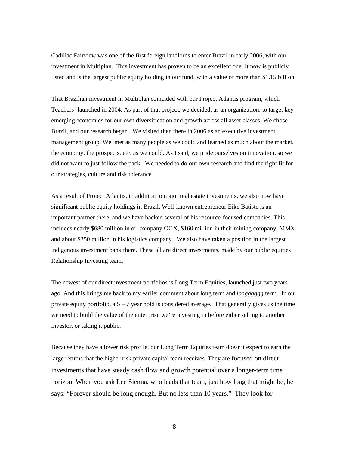Cadillac Fairview was one of the first foreign landlords to enter Brazil in early 2006, with our investment in Multiplan. This investment has proven to be an excellent one. It now is publicly listed and is the largest public equity holding in our fund, with a value of more than \$1.15 billion.

That Brazilian investment in Multiplan coincided with our Project Atlantis program, which Teachers' launched in 2004. As part of that project, we decided, as an organization, to target key emerging economies for our own diversification and growth across all asset classes. We chose Brazil, and our research began. We visited then there in 2006 as an executive investment management group. We met as many people as we could and learned as much about the market, the economy, the prospects, etc. as we could. As I said, we pride ourselves on innovation, so we did not want to just follow the pack. We needed to do our own research and find the right fit for our strategies, culture and risk tolerance.

As a result of Project Atlantis, in addition to major real estate investments, we also now have significant public equity holdings in Brazil. Well-known entrepreneur Eike Batiste is an important partner there, and we have backed several of his resource-focused companies. This includes nearly \$680 million in oil company OGX, \$160 million in their mining company, MMX, and about \$350 million in his logistics company. We also have taken a position in the largest indigenous investment bank there. These all are direct investments, made by our public equities Relationship Investing team.

The newest of our direct investment portfolios is Long Term Equities, launched just two years ago. And this brings me back to my earlier comment about long term and *longggggg* term. In our private equity portfolio, a  $5 - 7$  year hold is considered average. That generally gives us the time we need to build the value of the enterprise we're investing in before either selling to another investor, or taking it public.

Because they have a lower risk profile, our Long Term Equities team doesn't expect to earn the large returns that the higher risk private capital team receives. They are focused on direct investments that have steady cash flow and growth potential over a longer-term time horizon. When you ask Lee Sienna, who leads that team, just how long that might be, he says: "Forever should be long enough. But no less than 10 years." They look for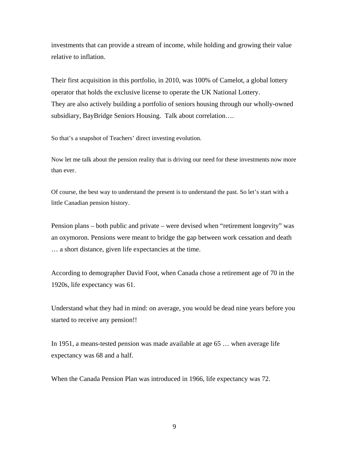investments that can provide a stream of income, while holding and growing their value relative to inflation.

Their first acquisition in this portfolio, in 2010, was 100% of Camelot, a global lottery operator that holds the exclusive license to operate the UK National Lottery. They are also actively building a portfolio of seniors housing through our wholly-owned subsidiary, BayBridge Seniors Housing. Talk about correlation….

So that's a snapshot of Teachers' direct investing evolution.

Now let me talk about the pension reality that is driving our need for these investments now more than ever.

Of course, the best way to understand the present is to understand the past. So let's start with a little Canadian pension history.

Pension plans – both public and private – were devised when "retirement longevity" was an oxymoron. Pensions were meant to bridge the gap between work cessation and death … a short distance, given life expectancies at the time.

According to demographer David Foot, when Canada chose a retirement age of 70 in the 1920s, life expectancy was 61.

Understand what they had in mind: on average, you would be dead nine years before you started to receive any pension!!

In 1951, a means-tested pension was made available at age 65 … when average life expectancy was 68 and a half.

When the Canada Pension Plan was introduced in 1966, life expectancy was 72.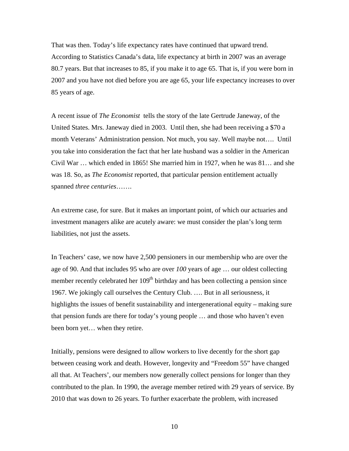That was then. Today's life expectancy rates have continued that upward trend. According to Statistics Canada's data, life expectancy at birth in 2007 was an average 80.7 years. But that increases to 85, if you make it to age 65. That is, if you were born in 2007 and you have not died before you are age 65, your life expectancy increases to over 85 years of age.

A recent issue of *The Economist* tells the story of the late Gertrude Janeway, of the United States. Mrs. Janeway died in 2003. Until then, she had been receiving a \$70 a month Veterans' Administration pension. Not much, you say. Well maybe not…. Until you take into consideration the fact that her late husband was a soldier in the American Civil War … which ended in 1865! She married him in 1927, when he was 81… and she was 18. So, as *The Economist* reported, that particular pension entitlement actually spanned *three centuries*…….

An extreme case, for sure. But it makes an important point, of which our actuaries and investment managers alike are acutely aware: we must consider the plan's long term liabilities, not just the assets.

In Teachers' case, we now have 2,500 pensioners in our membership who are over the age of 90. And that includes 95 who are over *100* years of age … our oldest collecting member recently celebrated her 109<sup>th</sup> birthday and has been collecting a pension since 1967. We jokingly call ourselves the Century Club. …. But in all seriousness, it highlights the issues of benefit sustainability and intergenerational equity – making sure that pension funds are there for today's young people … and those who haven't even been born yet… when they retire.

Initially, pensions were designed to allow workers to live decently for the short gap between ceasing work and death. However, longevity and "Freedom 55" have changed all that. At Teachers', our members now generally collect pensions for longer than they contributed to the plan. In 1990, the average member retired with 29 years of service. By 2010 that was down to 26 years. To further exacerbate the problem, with increased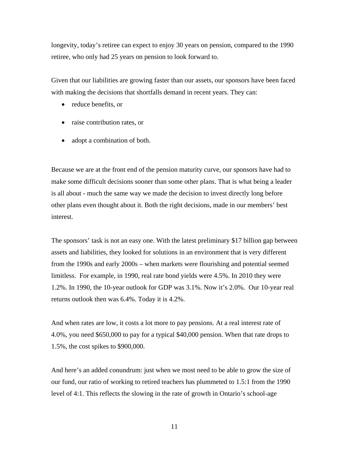longevity, today's retiree can expect to enjoy 30 years on pension, compared to the 1990 retiree, who only had 25 years on pension to look forward to.

Given that our liabilities are growing faster than our assets, our sponsors have been faced with making the decisions that shortfalls demand in recent years. They can:

- reduce benefits, or
- raise contribution rates, or
- adopt a combination of both.

Because we are at the front end of the pension maturity curve, our sponsors have had to make some difficult decisions sooner than some other plans. That is what being a leader is all about - much the same way we made the decision to invest directly long before other plans even thought about it. Both the right decisions, made in our members' best interest.

The sponsors' task is not an easy one. With the latest preliminary \$17 billion gap between assets and liabilities, they looked for solutions in an environment that is very different from the 1990s and early 2000s – when markets were flourishing and potential seemed limitless. For example, in 1990, real rate bond yields were 4.5%. In 2010 they were 1.2%. In 1990, the 10-year outlook for GDP was 3.1%. Now it's 2.0%. Our 10-year real returns outlook then was 6.4%. Today it is 4.2%.

And when rates are low, it costs a lot more to pay pensions. At a real interest rate of 4.0%, you need \$650,000 to pay for a typical \$40,000 pension. When that rate drops to 1.5%, the cost spikes to \$900,000.

And here's an added conundrum: just when we most need to be able to grow the size of our fund, our ratio of working to retired teachers has plummeted to 1.5:1 from the 1990 level of 4:1. This reflects the slowing in the rate of growth in Ontario's school-age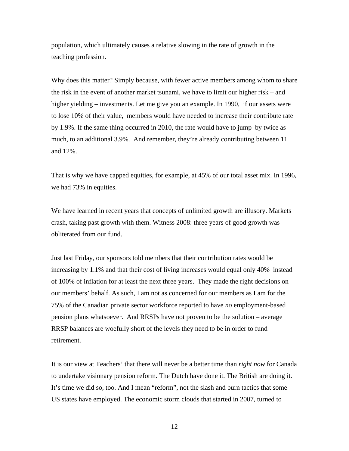population, which ultimately causes a relative slowing in the rate of growth in the teaching profession.

Why does this matter? Simply because, with fewer active members among whom to share the risk in the event of another market tsunami, we have to limit our higher risk – and higher yielding – investments. Let me give you an example. In 1990, if our assets were to lose 10% of their value, members would have needed to increase their contribute rate by 1.9%. If the same thing occurred in 2010, the rate would have to jump by twice as much, to an additional 3.9%. And remember, they're already contributing between 11 and 12%.

That is why we have capped equities, for example, at 45% of our total asset mix. In 1996, we had 73% in equities.

We have learned in recent years that concepts of unlimited growth are illusory. Markets crash, taking past growth with them. Witness 2008: three years of good growth was obliterated from our fund.

Just last Friday, our sponsors told members that their contribution rates would be increasing by 1.1% and that their cost of living increases would equal only 40% instead of 100% of inflation for at least the next three years. They made the right decisions on our members' behalf. As such, I am not as concerned for our members as I am for the 75% of the Canadian private sector workforce reported to have *no* employment-based pension plans whatsoever. And RRSPs have not proven to be the solution – average RRSP balances are woefully short of the levels they need to be in order to fund retirement.

It is our view at Teachers' that there will never be a better time than *right now* for Canada to undertake visionary pension reform. The Dutch have done it. The British are doing it. It's time we did so, too. And I mean "reform", not the slash and burn tactics that some US states have employed. The economic storm clouds that started in 2007, turned to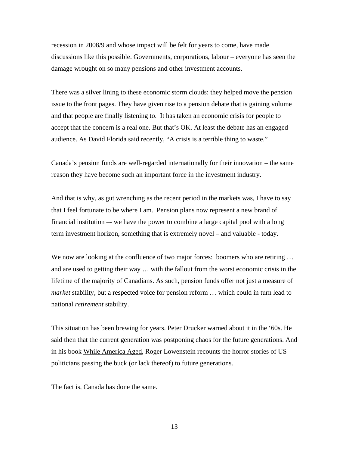recession in 2008/9 and whose impact will be felt for years to come, have made discussions like this possible. Governments, corporations, labour – everyone has seen the damage wrought on so many pensions and other investment accounts.

There was a silver lining to these economic storm clouds: they helped move the pension issue to the front pages. They have given rise to a pension debate that is gaining volume and that people are finally listening to. It has taken an economic crisis for people to accept that the concern is a real one. But that's OK. At least the debate has an engaged audience. As David Florida said recently, "A crisis is a terrible thing to waste."

Canada's pension funds are well-regarded internationally for their innovation – the same reason they have become such an important force in the investment industry.

And that is why, as gut wrenching as the recent period in the markets was, I have to say that I feel fortunate to be where I am. Pension plans now represent a new brand of financial institution –- we have the power to combine a large capital pool with a long term investment horizon, something that is extremely novel – and valuable - today.

We now are looking at the confluence of two major forces: boomers who are retiring ... and are used to getting their way … with the fallout from the worst economic crisis in the lifetime of the majority of Canadians. As such, pension funds offer not just a measure of *market* stability, but a respected voice for pension reform … which could in turn lead to national *retirement* stability.

This situation has been brewing for years. Peter Drucker warned about it in the '60s. He said then that the current generation was postponing chaos for the future generations. And in his book While America Aged, Roger Lowenstein recounts the horror stories of US politicians passing the buck (or lack thereof) to future generations.

The fact is, Canada has done the same.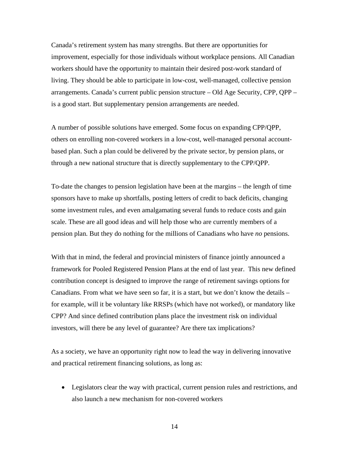Canada's retirement system has many strengths. But there are opportunities for improvement, especially for those individuals without workplace pensions. All Canadian workers should have the opportunity to maintain their desired post-work standard of living. They should be able to participate in low-cost, well-managed, collective pension arrangements. Canada's current public pension structure – Old Age Security, CPP, QPP – is a good start. But supplementary pension arrangements are needed.

A number of possible solutions have emerged. Some focus on expanding CPP/QPP, others on enrolling non-covered workers in a low-cost, well-managed personal accountbased plan. Such a plan could be delivered by the private sector, by pension plans, or through a new national structure that is directly supplementary to the CPP/QPP.

To-date the changes to pension legislation have been at the margins – the length of time sponsors have to make up shortfalls, posting letters of credit to back deficits, changing some investment rules, and even amalgamating several funds to reduce costs and gain scale. These are all good ideas and will help those who are currently members of a pension plan. But they do nothing for the millions of Canadians who have *no* pensions.

With that in mind, the federal and provincial ministers of finance jointly announced a framework for Pooled Registered Pension Plans at the end of last year. This new defined contribution concept is designed to improve the range of retirement savings options for Canadians. From what we have seen so far, it is a start, but we don't know the details – for example, will it be voluntary like RRSPs (which have not worked), or mandatory like CPP? And since defined contribution plans place the investment risk on individual investors, will there be any level of guarantee? Are there tax implications?

As a society, we have an opportunity right now to lead the way in delivering innovative and practical retirement financing solutions, as long as:

 Legislators clear the way with practical, current pension rules and restrictions, and also launch a new mechanism for non-covered workers